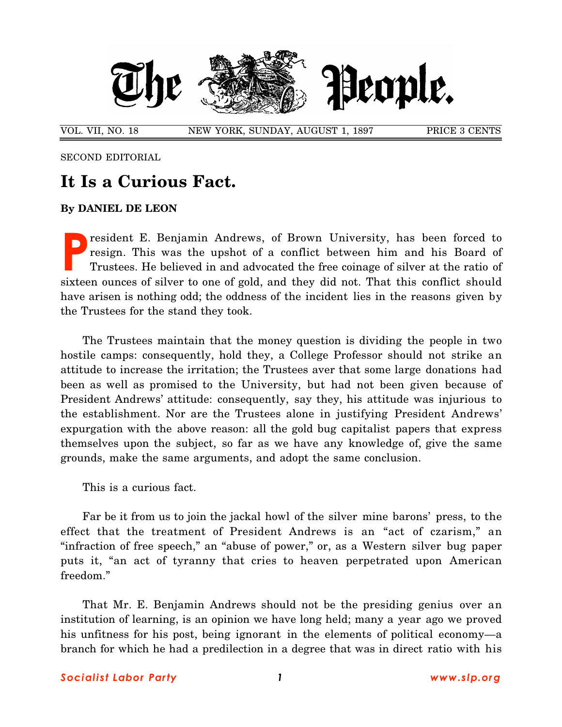

VOL. VII, NO. 18 NEW YORK, SUNDAY, AUGUST 1, 1897 PRICE 3 CENTS

SECOND EDITORIAL

## **It Is a Curious Fact.**

## **By DANIEL DE LEON**

resident E. Benjamin Andrews, of Brown University, has been forced to resign. This was the upshot of a conflict between him and his Board of Trustees. He believed in and advocated the free coinage of silver at the ratio of sixteen ounces of silver to one of gold, and they did not. That this conflict should have arisen is nothing odd; the oddness of the incident lies in the reasons given by the Trustees for the stand they took. **P**

The Trustees maintain that the money question is dividing the people in two hostile camps: consequently, hold they, a College Professor should not strike an attitude to increase the irritation; the Trustees aver that some large donations had been as well as promised to the University, but had not been given because of President Andrews' attitude: consequently, say they, his attitude was injurious to the establishment. Nor are the Trustees alone in justifying President Andrews' expurgation with the above reason: all the gold bug capitalist papers that express themselves upon the subject, so far as we have any knowledge of, give the same grounds, make the same arguments, and adopt the same conclusion.

This is a curious fact.

Far be it from us to join the jackal howl of the silver mine barons' press, to the effect that the treatment of President Andrews is an "act of czarism," an "infraction of free speech," an "abuse of power," or, as a Western silver bug paper puts it, "an act of tyranny that cries to heaven perpetrated upon American freedom."

That Mr. E. Benjamin Andrews should not be the presiding genius over an institution of learning, is an opinion we have long held; many a year ago we proved his unfitness for his post, being ignorant in the elements of political economy—a branch for which he had a predilection in a degree that was in direct ratio with his

## *Social i st Labor Party 1 www.slp.org*